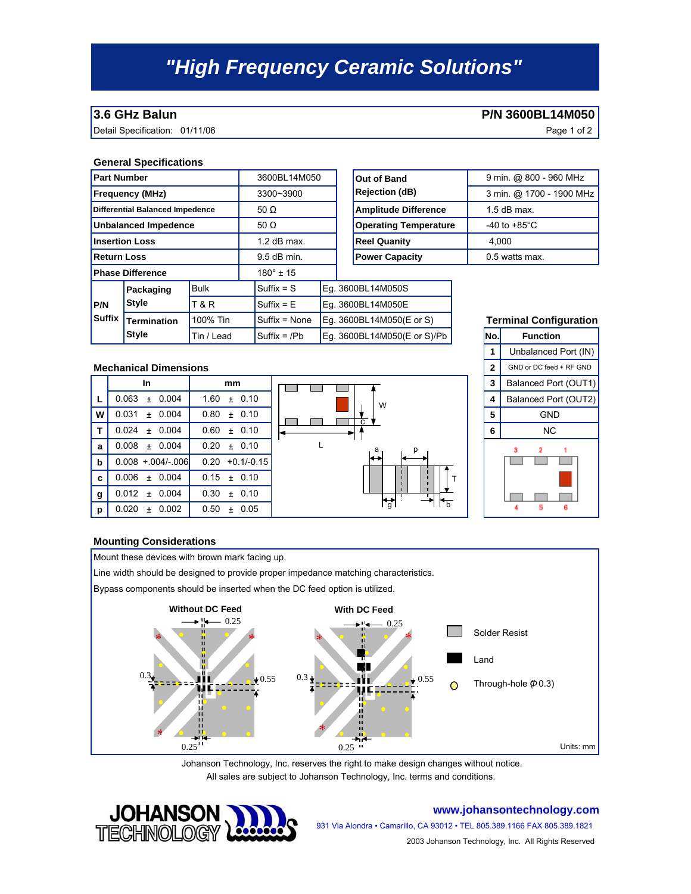**3.6 GHz Balun P/N 3600BL14M050** 

Detail Specification: 01/11/06 **Page 1 of 2** Page 1 of 2

### **General Specifications**

| <b>Part Number</b>              |                                    |             | 3600BL14M050 |                    |                             |                                                                                                             | Out of Band           |                               | 9 min. @ 800 - 960 MHz   |  |
|---------------------------------|------------------------------------|-------------|--------------|--------------------|-----------------------------|-------------------------------------------------------------------------------------------------------------|-----------------------|-------------------------------|--------------------------|--|
| <b>Frequency (MHz)</b>          |                                    |             | 3300~3900    |                    |                             | <b>Rejection (dB)</b><br><b>Amplitude Difference</b><br><b>Operating Temperature</b><br><b>Reel Quanity</b> |                       |                               | 3 min. @ 1700 - 1900 MHz |  |
| Differential Balanced Impedence |                                    |             | 50 $\Omega$  |                    |                             |                                                                                                             |                       |                               | $1.5$ dB max.            |  |
| Unbalanced Impedence            |                                    |             |              | 50 $\Omega$        |                             |                                                                                                             |                       |                               | -40 to +85 $^{\circ}$ C  |  |
| <b>Insertion Loss</b>           |                                    |             |              | $1.2$ dB max.      |                             |                                                                                                             |                       |                               | 4.000                    |  |
| <b>Return Loss</b>              |                                    |             |              | $9.5$ dB min.      |                             |                                                                                                             | <b>Power Capacity</b> |                               | 0.5 watts max.           |  |
| <b>Phase Difference</b>         |                                    |             |              | $180^{\circ}$ ± 15 |                             |                                                                                                             |                       |                               |                          |  |
| <b>P/N</b><br><b>Suffix</b>     | Packaging<br><b>Style</b>          | <b>Bulk</b> |              | $Suffix = S$       | Eq. 3600BL14M050S           |                                                                                                             |                       |                               |                          |  |
|                                 |                                    | T&R         |              | $Suffix = E$       | Eq. 3600BL14M050E           |                                                                                                             |                       |                               |                          |  |
|                                 | <b>Termination</b><br><b>Style</b> | 100% Tin    |              | Suffix = None      | Eq. 3600BL14M050(E or S)    |                                                                                                             |                       | <b>Terminal Configuration</b> |                          |  |
|                                 |                                    | Tin / Lead  |              | Suffix = $/Pb$     | Eq. 3600BL14M050(E or S)/Pb |                                                                                                             |                       | No.                           | <b>Function</b>          |  |

| <b>Out of Band</b>           | 9 min. @ 800 - 960 MHz   |  |  |  |
|------------------------------|--------------------------|--|--|--|
| <b>Rejection (dB)</b>        | 3 min. @ 1700 - 1900 MHz |  |  |  |
| <b>Amplitude Difference</b>  | $1.5$ dB max.            |  |  |  |
| <b>Operating Temperature</b> | -40 to +85 $^{\circ}$ C  |  |  |  |
| <b>Reel Quanity</b>          | 4.000                    |  |  |  |
| <b>Power Capacity</b>        | 0.5 watts max.           |  |  |  |

|    | In                 | mm                  |  |  |  |  |
|----|--------------------|---------------------|--|--|--|--|
| L. | $0.063 \pm 0.004$  | $1.60 \pm 0.10$     |  |  |  |  |
| w  | $0.031 \pm 0.004$  | $0.80 \pm 0.10$     |  |  |  |  |
| т  | $0.024 \pm 0.004$  | $0.60 \pm 0.10$     |  |  |  |  |
| a  | $0.008 \pm 0.004$  | 0.20<br>$\pm$ 0.10  |  |  |  |  |
| b  | $0.008 + 004/-006$ | $0.20 + 0.1/-0.15$  |  |  |  |  |
| C  | $0.006 \pm 0.004$  | $0.15 + 0.10$       |  |  |  |  |
| g  | $0.012 \pm 0.004$  | 0.30<br>$\pm$ 0.10  |  |  |  |  |
| p  | $0.020 \pm 0.002$  | ი 50<br>0.05<br>$+$ |  |  |  |  |



## **Subseminal Configuration**



### **Mounting Considerations**

Mount these devices with brown mark facing up.

Line width should be designed to provide proper impedance matching characteristics. Bypass components should be inserted when the DC feed option is utilized. **Without DC Feed With DC Feed** $-0.25$ ୴ 0.25 Solder Resist \* \* \* \* Land . H  $0.3 + 1 - 1$  $0.3 + 0.55$ Through-hole (*Φ* 0.3) ш \* \*  $0.25$ <sup> $11$ </sup> Units: mm  $0.25$  "

> Johanson Technology, Inc. reserves the right to make design changes without notice. All sales are subject to Johanson Technology, Inc. terms and conditions.



## **www.johansontechnology.com**

931 Via Alondra • Camarillo, CA 93012 • TEL 805.389.1166 FAX 805.389.1821 2003 Johanson Technology, Inc. All Rights Reserved